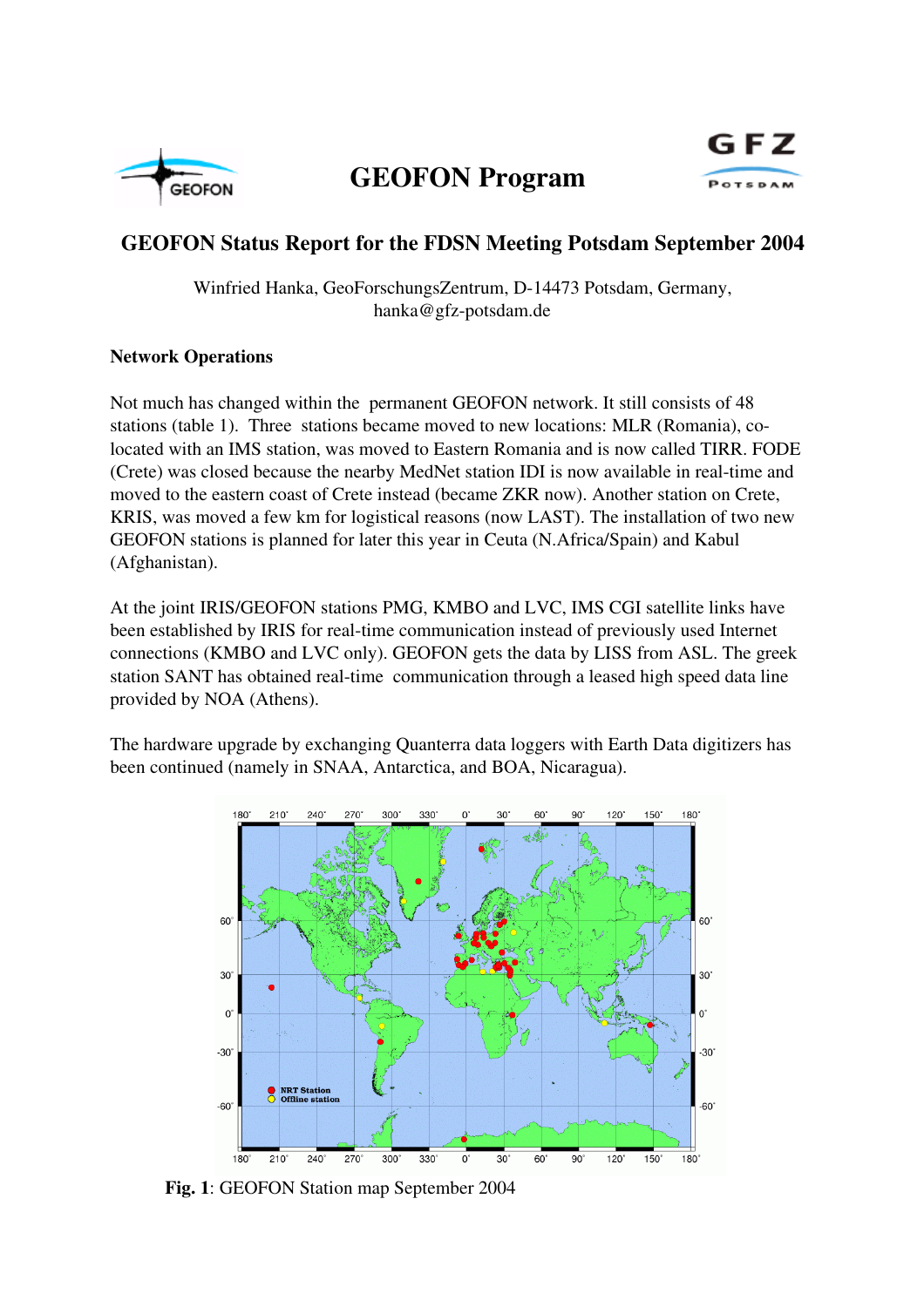

## GEOFON Program



### GEOFON Status Report for the FDSN Meeting Potsdam September 2004

Winfried Hanka, GeoForschungsZentrum, D-14473 Potsdam, Germany, hanka@gfz-potsdam.de

#### Network Operations

Not much has changed within the permanent GEOFON network. It still consists of 48 stations (table 1). Three stations became moved to new locations: MLR (Romania), colocated with an IMS station, was moved to Eastern Romania and is now called TIRR. FODE (Crete) was closed because the nearby MedNet station IDI is now available in real-time and moved to the eastern coast of Crete instead (became ZKR now). Another station on Crete, KRIS, was moved a few km for logistical reasons (now LAST). The installation of two new GEOFON stations is planned for later this year in Ceuta (N.Africa/Spain) and Kabul (Afghanistan).

At the joint IRIS/GEOFON stations PMG, KMBO and LVC, IMS CGI satellite links have been established by IRIS for real-time communication instead of previously used Internet connections (KMBO and LVC only). GEOFON gets the data by LISS from ASL. The greek station SANT has obtained real-time communication through a leased high speed data line provided by NOA (Athens).

The hardware upgrade by exchanging Quanterra data loggers with Earth Data digitizers has been continued (namely in SNAA, Antarctica, and BOA, Nicaragua).



Fig. 1: GEOFON Station map September 2004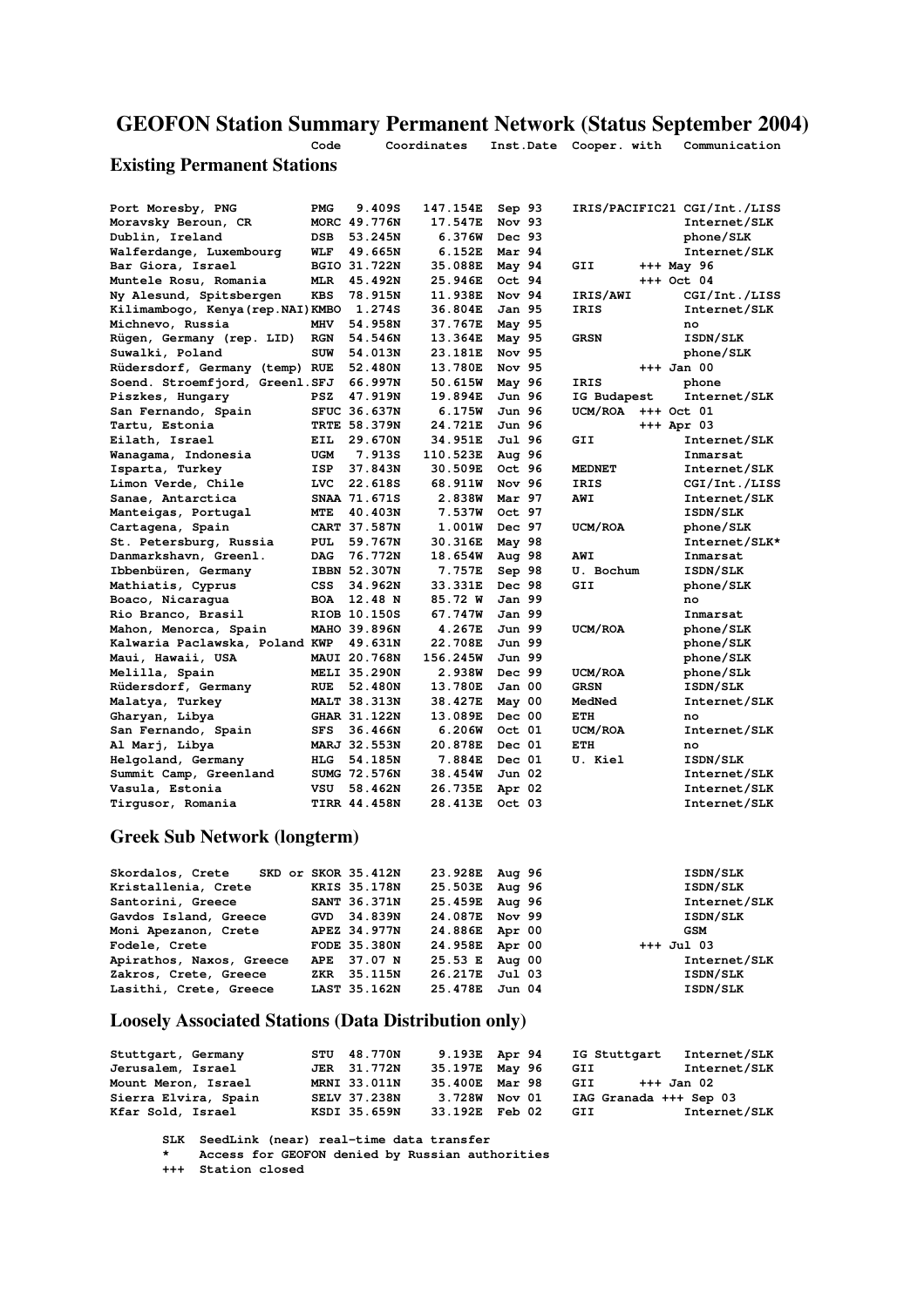# GEOFON Station Summary Permanent Network (Status September 2004)

**Code Coordinates Inst.Date Cooper. with Communication**

#### Existing Permanent Stations

| Port Moresby, PNG                  | <b>PMG</b>          |                     | 9.409S         | 147.154E | Sep 93        |                | IRIS/PACIFIC21 CGI/Int./LISS |
|------------------------------------|---------------------|---------------------|----------------|----------|---------------|----------------|------------------------------|
| Moravsky Beroun, CR                | MORC 49.776N        |                     |                | 17.547E  | Nov 93        |                | Internet/SLK                 |
| Dublin, Ireland                    | <b>DSB</b>          |                     | 53.245N        | 6.376W   | Dec 93        |                | phone/SLK                    |
| Walferdange, Luxembourg            | WLF                 |                     | 49.665N        | 6.152E   | Mar 94        |                | Internet/SLK                 |
| Bar Giora, Israel                  | BGIO 31.722N        |                     |                | 35.088E  | May 94        | GII            | +++ May 96                   |
| Muntele Rosu, Romania              | <b>MLR</b>          |                     | 45.492N        | 25.946E  | Oct 94        |                | $+++$ Oct 04                 |
| Ny Alesund, Spitsbergen            | <b>KBS</b>          |                     | 78.915N        | 11.938E  | Nov 94        | IRIS/AWI       | CGI/Int./LISS                |
| Kilimambogo, Kenya (rep. NAI) KMBO |                     |                     | 1.274S         | 36.804E  | Jan 95        | IRIS           | Internet/SLK                 |
| Michnevo, Russia                   | <b>MHV</b>          |                     | 54.958N        | 37.767E  | May 95        |                | no                           |
| Rügen, Germany (rep. LID)          | <b>RGN</b>          |                     | 54.546N        | 13.364E  | May 95        | <b>GRSN</b>    | ISDN/SLK                     |
| Suwalki, Poland                    | <b>SUW</b>          |                     | 54.013N        | 23.181E  | Nov 95        |                | phone/SLK                    |
| Rüdersdorf, Germany (temp) RUE     |                     |                     | 52.480N        | 13.780E  | Nov 95        |                | $+++$ Jan 00                 |
| Soend. Stroemfjord, Greenl.SFJ     |                     |                     | 66.997N        | 50.615W  | May 96        | IRIS           | phone                        |
| Piszkes, Hungary                   | <b>PSZ</b>          |                     | 47.919N        | 19.894E  | Jun 96        | IG Budapest    | Internet/SLK                 |
| San Fernando, Spain                | SFUC 36.637N        |                     |                | 6.175W   | Jun 96        | <b>UCM/ROA</b> | +++ Oct 01                   |
| Tartu, Estonia                     | <b>TRTE 58.379N</b> |                     |                | 24.721E  | Jun 96        |                | +++ Apr 03                   |
| Eilath, Israel                     | EIL                 |                     | 29.670N        | 34.951E  | Jul 96        | GII            | Internet/SLK                 |
| Wanagama, Indonesia                | <b>UGM</b>          |                     | 7.913S         | 110.523E | Aug 96        |                | Inmarsat                     |
| Isparta, Turkey                    | ISP                 | 37.843N             |                | 30.509E  | Oct 96        | <b>MEDNET</b>  | Internet/SLK                 |
| Limon Verde, Chile                 | <b>LVC</b>          |                     | <b>22.618S</b> | 68.911W  | Nov 96        | <b>IRIS</b>    | CGI/Int./LISS                |
| Sanae, Antarctica                  | SNAA 71.671S        |                     |                | 2.838W   | Mar 97        | <b>AWI</b>     | Internet/SLK                 |
| Manteigas, Portugal                | <b>MTE</b>          |                     | 40.403N        | 7.537W   | Oct 97        |                | <b>ISDN/SLK</b>              |
| Cartagena, Spain                   | CART 37.587N        |                     |                | 1.001W   | Dec 97        | UCM/ROA        | phone/SLK                    |
| St. Petersburg, Russia             | <b>PUL</b>          |                     | 59.767N        | 30.316E  | May 98        |                | Internet/SLK*                |
| Danmarkshavn, Greenl.              | <b>DAG</b>          |                     | 76.772N        | 18.654W  | Aug 98        | AWI            | Inmarsat                     |
| Ibbenbüren, Germany                | IBBN 52.307N        |                     |                | 7.757E   | Sep 98        | U. Bochum      | <b>ISDN/SLK</b>              |
| Mathiatis, Cyprus                  | CSS                 |                     | 34.962N        | 33.331E  | Dec 98        | GII            | phone/SLK                    |
| Boaco, Nicaraqua                   | <b>BOA</b>          | 12.48 N             |                | 85.72 W  | Jan 99        |                | no                           |
| Rio Branco, Brasil                 | RIOB 10.150S        |                     |                | 67.747W  | <b>Jan 99</b> |                | Inmarsat                     |
| Mahon, Menorca, Spain              | MAHO 39.896N        |                     |                | 4.267E   | Jun 99        | UCM/ROA        | phone/SLK                    |
| Kalwaria Paclawska, Poland KWP     |                     |                     | 49.631N        | 22.708E  | Jun 99        |                | phone/SLK                    |
| Maui, Hawaii, USA                  | MAUI 20.768N        |                     |                | 156.245W | Jun 99        |                | phone/SLK                    |
| Melilla, Spain                     | <b>MELI 35.290N</b> |                     |                | 2.938W   | Dec 99        | UCM/ROA        | phone/SLk                    |
| Rüdersdorf, Germany                | RUE                 |                     | 52.480N        | 13.780E  | Jan 00        | <b>GRSN</b>    | ISDN/SLK                     |
| Malatya, Turkey                    | <b>MALT 38.313N</b> |                     |                | 38.427E  | May 00        | MedNed         | Internet/SLK                 |
| Gharyan, Libya                     | GHAR 31.122N        |                     |                | 13.089E  | Dec 00        | ETH            | no                           |
| San Fernando, Spain                | <b>SFS</b>          |                     | 36.466N        | 6.206W   | Oct 01        | UCM/ROA        | Internet/SLK                 |
| Al Marj, Libya                     | MARJ 32.553N        |                     |                | 20.878E  | Dec 01        | ETH            | no                           |
| Helgoland, Germany                 | <b>HLG</b>          |                     | 54.185N        | 7.884E   | Dec 01        | U. Kiel        | ISDN/SLK                     |
| Summit Camp, Greenland             | SUMG 72.576N        |                     |                | 38.454W  | Jun 02        |                | Internet/SLK                 |
| Vasula, Estonia                    | VSU                 |                     | 58.462N        | 26.735E  | Apr 02        |                | Internet/SLK                 |
| Tirqusor, Romania                  |                     | <b>TIRR 44.458N</b> |                | 28.413E  | Oct 03        |                | Internet/SLK                 |

#### Greek Sub Network (longterm)

| Skordalos, Crete SKD or SKOR 35.412N |                     | 23.928E Aug 96   | ISDN/SLK     |
|--------------------------------------|---------------------|------------------|--------------|
| Kristallenia, Crete                  | <b>KRIS 35.178N</b> | 25.503E Aug 96   | ISDN/SLK     |
| Santorini, Greece                    | SANT 36.371N        | 25.459E Aug 96   | Internet/SLK |
| Gavdos Island, Greece                | GVD 34.839N         | 24.087E Nov 99   | ISDN/SLK     |
| Moni Apezanon, Crete                 | APEZ 34.977N        | 24.886E Apr 00   | GSM          |
| Fodele, Crete                        | <b>FODE 35.380N</b> | 24.958E Apr 00   | $+++$ Jul 03 |
| Apirathos, Naxos, Greece             | APE 37.07 N         | $25.53$ E Aug 00 | Internet/SLK |
| Zakros, Crete, Greece                | ZKR 35.115N         | 26.217E Jul 03   | ISDN/SLK     |
| Lasithi, Crete, Greece               | LAST 35.162N        | 25.478E Jun 04   | ISDN/SLK     |
|                                      |                     |                  |              |

#### Loosely Associated Stations (Data Distribution only)

| Stuttgart, Germany   | STU 48.770N         | 9.193E Apr 94  | IG Stuttgart           | <b>Internet/SLK</b> |
|----------------------|---------------------|----------------|------------------------|---------------------|
| Jerusalem, Israel    | <b>JER</b> 31.772N  | 35.197E May 96 | GII                    | Internet/SLK        |
| Mount Meron, Israel  | MRNI 33.011N        | 35.400E Mar 98 | GII                    | +++ Jan 02          |
| Sierra Elvira, Spain | <b>SELV 37.238N</b> | 3.728W Nov 01  | IAG Granada +++ Sep 03 |                     |
| Kfar Sold, Israel    | KSDI 35.659N        | 33.192E Feb 02 | GII                    | Internet/SLK        |

SLK SeedLink (near) real-time data transfer

 **\* Access for GEOFON denied by Russian authorities**

 **+++ Station closed**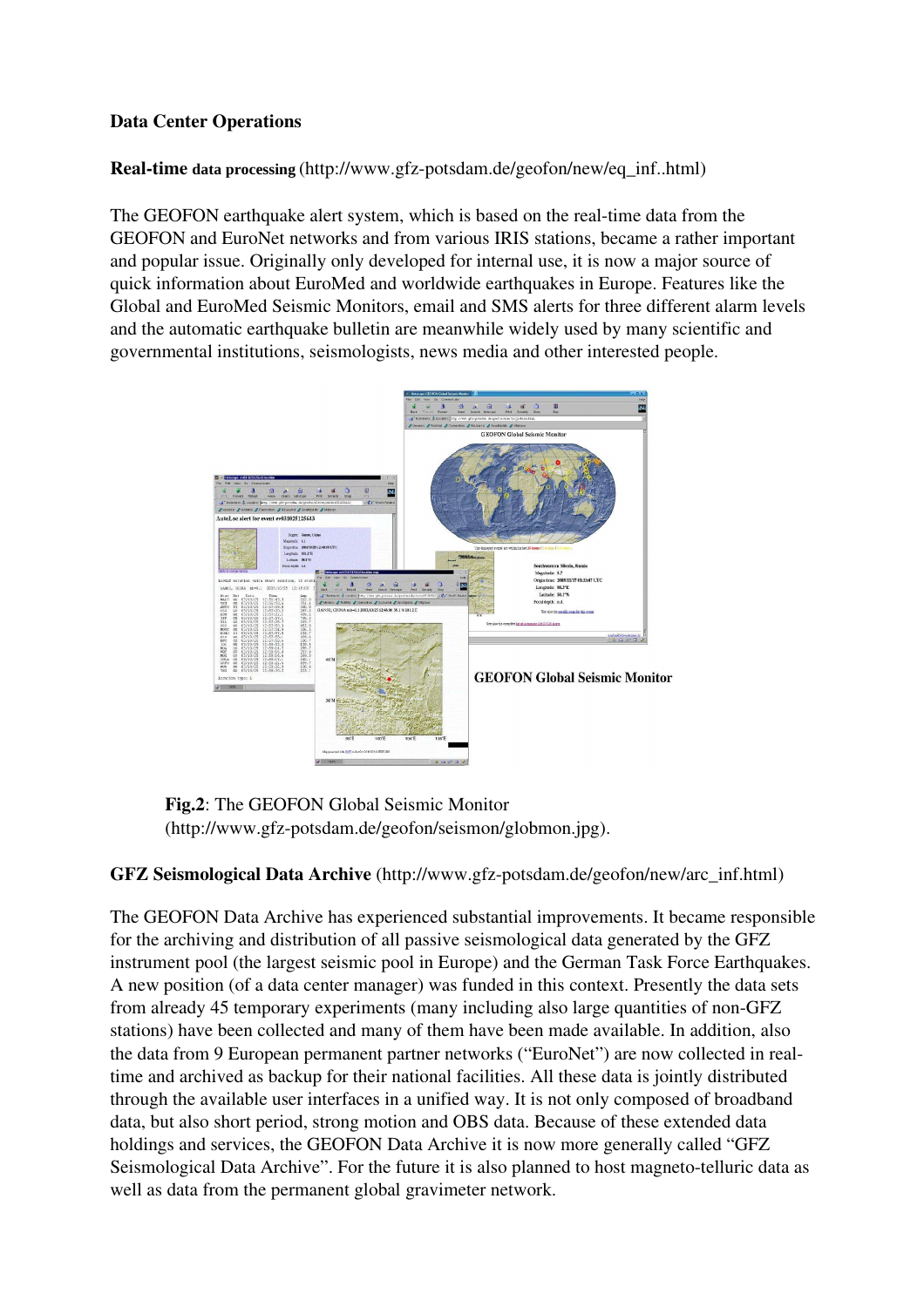#### Data Center Operations

#### **Real-time data processing** (http://www.gfz-potsdam.de/geofon/new/eq\_inf..html)

The GEOFON earthquake alert system, which is based on the real-time data from the GEOFON and EuroNet networks and from various IRIS stations, became a rather important and popular issue. Originally only developed for internal use, it is now a major source of quick information about EuroMed and worldwide earthquakes in Europe. Features like the Global and EuroMed Seismic Monitors, email and SMS alerts for three different alarm levels and the automatic earthquake bulletin are meanwhile widely used by many scientific and governmental institutions, seismologists, news media and other interested people.



Fig.2: The GEOFON Global Seismic Monitor  $(http://www.getz-potsdam.de/geofon/seismon/globmon.jpg).$ 

#### GFZ Seismological Data Archive (http://www.gfz-potsdam.de/geofon/new/arc\_inf.html)

The GEOFON Data Archive has experienced substantial improvements. It became responsible for the archiving and distribution of all passive seismological data generated by the GFZ instrument pool (the largest seismic pool in Europe) and the German Task Force Earthquakes. A new position (of a data center manager) was funded in this context. Presently the data sets from already 45 temporary experiments (many including also large quantities of nonGFZ stations) have been collected and many of them have been made available. In addition, also the data from 9 European permanent partner networks (" EuroNet") are now collected in realtime and archived as backup for their national facilities. All these data is jointly distributed through the available user interfaces in a unified way. It is not only composed of broadband data, but also short period, strong motion and OBS data. Because of these extended data holdings and services, the GEOFON Data Archive it is now more generally called "GFZ" Seismological Data Archive". For the future it is also planned to host magneto-telluric data as well as data from the permanent global gravimeter network.